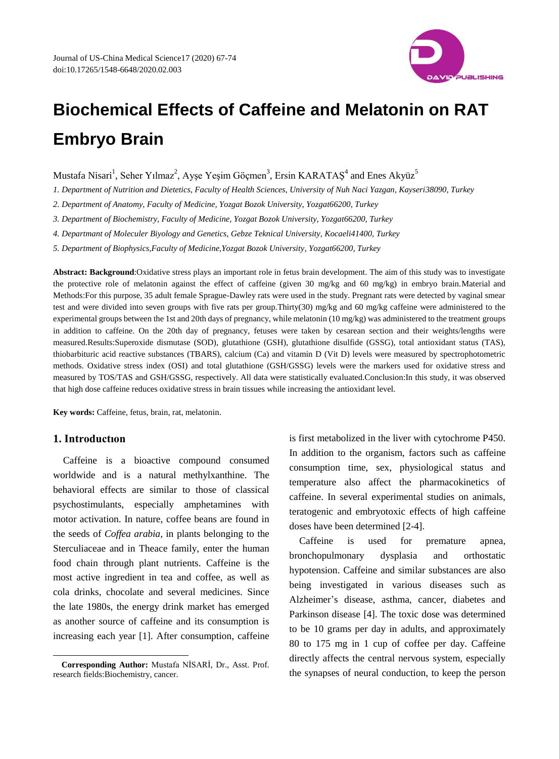

# **Biochemical Effects of Caffeine and Melatonin on RAT Embryo Brain**

Mustafa Nisari<sup>1</sup>, Seher Yılmaz<sup>2</sup>, Ayşe Yeşim Göçmen<sup>3</sup>, Ersin KARATAŞ<sup>4</sup> and Enes Aky üz<sup>5</sup>

*1. Department of Nutrition and Dietetics, Faculty of Health Sciences, University of Nuh Naci Yazgan, Kayseri38090, Turkey*

*2. Department of Anatomy, Faculty of Medicine, Yozgat Bozok University, Yozgat66200, Turkey*

*3. Department of Biochemistry, Faculty of Medicine, Yozgat Bozok University, Yozgat66200, Turkey*

*4. Departmant of Moleculer Biyology and Genetics, Gebze Teknical University, Kocaeli41400, Turkey*

*5. Department of Biophysics,Faculty of Medicine,Yozgat Bozok University, Yozgat66200, Turkey*

**Abstract: Background**:Oxidative stress plays an important role in fetus brain development. The aim of this study was to investigate the protective role of melatonin against the effect of caffeine (given 30 mg/kg and 60 mg/kg) in embryo brain.Material and Methods:For this purpose, 35 adult female Sprague-Dawley rats were used in the study. Pregnant rats were detected by vaginal smear test and were divided into seven groups with five rats per group.Thirty(30) mg/kg and 60 mg/kg caffeine were administered to the experimental groups between the 1st and 20th days of pregnancy, while melatonin (10 mg/kg) was administered to the treatment groups in addition to caffeine. On the 20th day of pregnancy, fetuses were taken by cesarean section and their weights/lengths were measured.Results:Superoxide dismutase (SOD), glutathione (GSH), glutathione disulfide (GSSG), total antioxidant status (TAS), thiobarbituric acid reactive substances (TBARS), calcium (Ca) and vitamin D (Vit D) levels were measured by spectrophotometric methods. Oxidative stress index (OSI) and total glutathione (GSH/GSSG) levels were the markers used for oxidative stress and measured by TOS/TAS and GSH/GSSG, respectively. All data were statistically evaluated.Conclusion:In this study, it was observed that high dose caffeine reduces oxidative stress in brain tissues while increasing the antioxidant level.

**Key words:** Caffeine, fetus, brain, rat, melatonin.

## **1. Introductıon**

1

Caffeine is a bioactive compound consumed worldwide and is a natural methylxanthine. The behavioral effects are similar to those of classical psychostimulants, especially amphetamines with motor activation. In nature, coffee beans are found in the seeds of *Coffea arabia*, in plants belonging to the Sterculiaceae and in Theace family, enter the human food chain through plant nutrients. Caffeine is the most active ingredient in tea and coffee, as well as cola drinks, chocolate and several medicines. Since the late 1980s, the energy drink market has emerged as another source of caffeine and its consumption is increasing each year [1]. After consumption, caffeine

is first metabolized in the liver with cytochrome P450. In addition to the organism, factors such as caffeine consumption time, sex, physiological status and temperature also affect the pharmacokinetics of caffeine. In several experimental studies on animals, teratogenic and embryotoxic effects of high caffeine doses have been determined [2-4].

Caffeine is used for premature apnea, bronchopulmonary dysplasia and orthostatic hypotension. Caffeine and similar substances are also being investigated in various diseases such as Alzheimer's disease, asthma, cancer, diabetes and Parkinson disease [4]. The toxic dose was determined to be 10 grams per day in adults, and approximately 80 to 175 mg in 1 cup of coffee per day. Caffeine directly affects the central nervous system, especially the synapses of neural conduction, to keep the person

**Corresponding Author:** Mustafa NİSARİ, Dr., Asst. Prof. research fields:Biochemistry, cancer.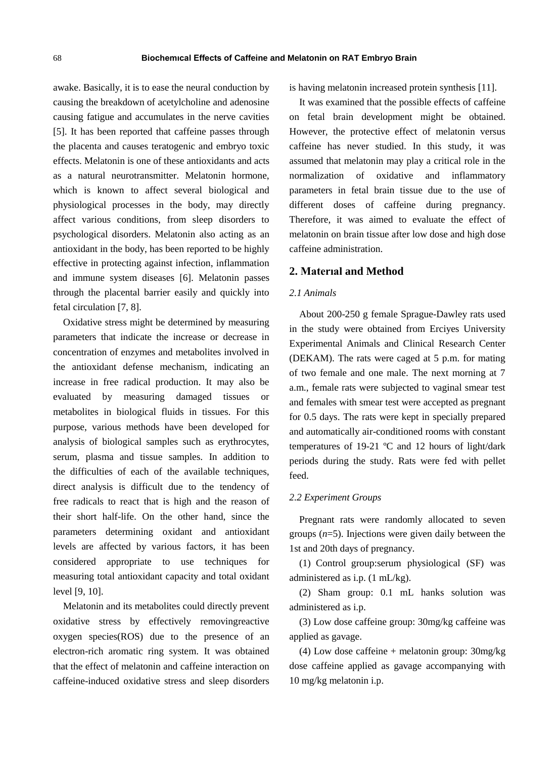awake. Basically, it is to ease the neural conduction by causing the breakdown of acetylcholine and adenosine causing fatigue and accumulates in the nerve cavities [5]. It has been reported that caffeine passes through the placenta and causes teratogenic and embryo toxic effects. Melatonin is one of these antioxidants and acts as a natural neurotransmitter. Melatonin hormone, which is known to affect several biological and physiological processes in the body, may directly affect various conditions, from sleep disorders to psychological disorders. Melatonin also acting as an antioxidant in the body, has been reported to be highly effective in protecting against infection, inflammation and immune system diseases [6]. Melatonin passes through the placental barrier easily and quickly into fetal circulation [7, 8].

Oxidative stress might be determined by measuring parameters that indicate the increase or decrease in concentration of enzymes and metabolites involved in the antioxidant defense mechanism, indicating an increase in free radical production. It may also be evaluated by measuring damaged tissues or metabolites in biological fluids in tissues. For this purpose, various methods have been developed for analysis of biological samples such as erythrocytes, serum, plasma and tissue samples. In addition to the difficulties of each of the available techniques, direct analysis is difficult due to the tendency of free radicals to react that is high and the reason of their short half-life. On the other hand, since the parameters determining oxidant and antioxidant levels are affected by various factors, it has been considered appropriate to use techniques for measuring total antioxidant capacity and total oxidant level [9, 10].

Melatonin and its metabolites could directly prevent oxidative stress by effectively removingreactive oxygen species(ROS) due to the presence of an electron-rich aromatic ring system. It was obtained that the effect of melatonin and caffeine interaction on caffeine-induced oxidative stress and sleep disorders

is having melatonin increased protein synthesis [11].

It was examined that the possible effects of caffeine on fetal brain development might be obtained. However, the protective effect of melatonin versus caffeine has never studied. In this study, it was assumed that melatonin may play a critical role in the normalization of oxidative and inflammatory parameters in fetal brain tissue due to the use of different doses of caffeine during pregnancy. Therefore, it was aimed to evaluate the effect of melatonin on brain tissue after low dose and high dose caffeine administration.

# **2. Materıal and Method**

# *2.1 Animals*

About 200-250 g female Sprague-Dawley rats used in the study were obtained from Erciyes University Experimental Animals and Clinical Research Center (DEKAM). The rats were caged at 5 p.m. for mating of two female and one male. The next morning at 7 a.m., female rats were subjected to vaginal smear test and females with smear test were accepted as pregnant for 0.5 days. The rats were kept in specially prepared and automatically air-conditioned rooms with constant temperatures of 19-21  $\mathbb C$  and 12 hours of light/dark periods during the study. Rats were fed with pellet feed.

## *2.2 Experiment Groups*

Pregnant rats were randomly allocated to seven groups (*n*=5). Injections were given daily between the 1st and 20th days of pregnancy.

(1) Control group:serum physiological (SF) was administered as i.p. (1 mL/kg).

(2) Sham group: 0.1 mL hanks solution was administered as i.p.

(3) Low dose caffeine group: 30mg/kg caffeine was applied as gavage.

(4) Low dose caffeine + melatonin group: 30mg/kg dose caffeine applied as gavage accompanying with 10 mg/kg melatonin i.p.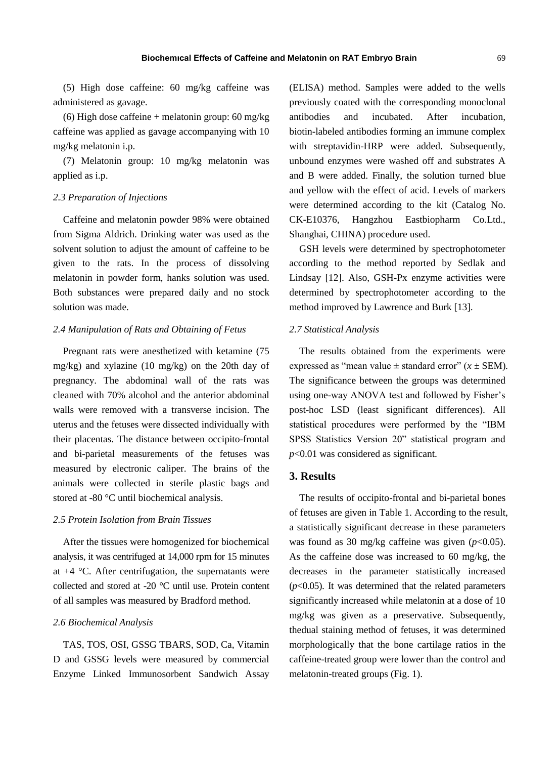(5) High dose caffeine: 60 mg/kg caffeine was administered as gavage.

(6) High dose caffeine + melatonin group:  $60 \text{ mg/kg}$ caffeine was applied as gavage accompanying with 10 mg/kg melatonin i.p.

(7) Melatonin group: 10 mg/kg melatonin was applied as i.p.

## *2.3 Preparation of Injections*

Caffeine and melatonin powder 98% were obtained from Sigma Aldrich. Drinking water was used as the solvent solution to adjust the amount of caffeine to be given to the rats. In the process of dissolving melatonin in powder form, hanks solution was used. Both substances were prepared daily and no stock solution was made.

## *2.4 Manipulation of Rats and Obtaining of Fetus*

Pregnant rats were anesthetized with ketamine (75 mg/kg) and xylazine (10 mg/kg) on the 20th day of pregnancy. The abdominal wall of the rats was cleaned with 70% alcohol and the anterior abdominal walls were removed with a transverse incision. The uterus and the fetuses were dissected individually with their placentas. The distance between occipito-frontal and bi-parietal measurements of the fetuses was measured by electronic caliper. The brains of the animals were collected in sterile plastic bags and stored at -80 °C until biochemical analysis.

#### *2.5 Protein Isolation from Brain Tissues*

After the tissues were homogenized for biochemical analysis, it was centrifuged at 14,000 rpm for 15 minutes at  $+4$  °C. After centrifugation, the supernatants were collected and stored at -20 °C until use. Protein content of all samples was measured by Bradford method.

# *2.6 Biochemical Analysis*

TAS, TOS, OSI, GSSG TBARS, SOD, Ca, Vitamin D and GSSG levels were measured by commercial Enzyme Linked Immunosorbent Sandwich Assay (ELISA) method. Samples were added to the wells previously coated with the corresponding monoclonal antibodies and incubated. After incubation, biotin-labeled antibodies forming an immune complex with streptavidin-HRP were added. Subsequently, unbound enzymes were washed off and substrates A and B were added. Finally, the solution turned blue and yellow with the effect of acid. Levels of markers were determined according to the kit (Catalog No. CK-E10376, Hangzhou Eastbiopharm Co.Ltd., Shanghai, CHINA) procedure used.

GSH levels were determined by spectrophotometer according to the method reported by Sedlak and Lindsay [12]. Also, GSH-Px enzyme activities were determined by spectrophotometer according to the method improved by Lawrence and Burk [13].

# *2.7 Statistical Analysis*

The results obtained from the experiments were expressed as "mean value  $\pm$  standard error" ( $x \pm$ SEM). The significance between the groups was determined using one-way ANOVA test and followed by Fisher's post-hoc LSD (least significant differences). All statistical procedures were performed by the "IBM SPSS Statistics Version 20" statistical program and *p*<0.01 was considered as significant.

# **3. Results**

The results of occipito-frontal and bi-parietal bones of fetuses are given in Table 1. According to the result, a statistically significant decrease in these parameters was found as 30 mg/kg caffeine was given ( $p$ <0.05). As the caffeine dose was increased to 60 mg/kg, the decreases in the parameter statistically increased  $(p<0.05)$ . It was determined that the related parameters significantly increased while melatonin at a dose of 10 mg/kg was given as a preservative. Subsequently, thedual staining method of fetuses, it was determined morphologically that the bone cartilage ratios in the caffeine-treated group were lower than the control and melatonin-treated groups (Fig. 1).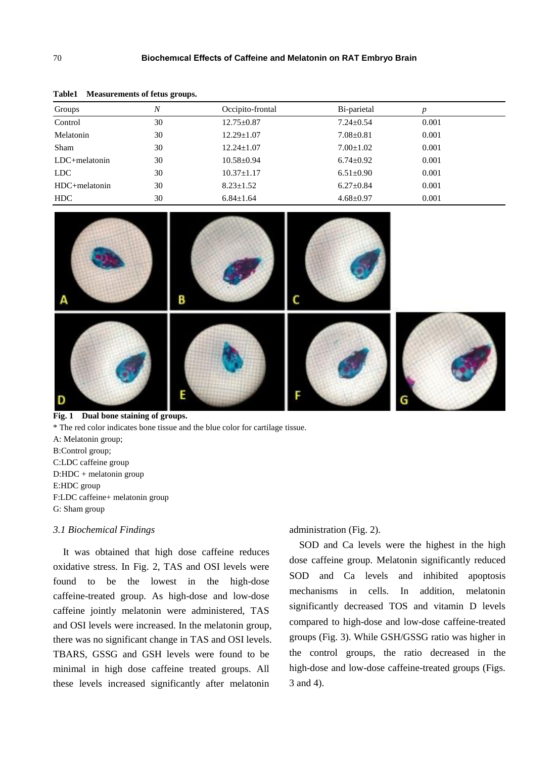| $2.00102$ $1.20000$ at $0.11000$ of $10000$ $\mu$ $0.0000$ |                  |                  |                 |       |  |
|------------------------------------------------------------|------------------|------------------|-----------------|-------|--|
| Groups                                                     | $\boldsymbol{N}$ | Occipito-frontal | Bi-parietal     |       |  |
| Control                                                    | 30               | $12.75 \pm 0.87$ | $7.24 \pm 0.54$ | 0.001 |  |
| Melatonin                                                  | 30               | $12.29 \pm 1.07$ | $7.08 \pm 0.81$ | 0.001 |  |
| Sham                                                       | 30               | $12.24 \pm 1.07$ | $7.00 \pm 1.02$ | 0.001 |  |
| $LDC + melanationin$                                       | 30               | $10.58 + 0.94$   | $6.74 \pm 0.92$ | 0.001 |  |
| LDC.                                                       | 30               | $10.37 \pm 1.17$ | $6.51 \pm 0.90$ | 0.001 |  |
| HDC+melatonin                                              | 30               | $8.23 \pm 1.52$  | $6.27 \pm 0.84$ | 0.001 |  |
| HDC                                                        | 30               | $6.84 \pm 1.64$  | $4.68 + 0.97$   | 0.001 |  |

**Table1 Measurements of fetus groups.**



**Fig. 1 Dual bone staining of groups.** \* The red color indicates bone tissue and the blue color for cartilage tissue. A: Melatonin group; B:Control group; C:LDC caffeine group D:HDC + melatonin group E:HDC group F:LDC caffeine+ melatonin group G: Sham group *3.1 Biochemical Findings*

It was obtained that high dose caffeine reduces oxidative stress. In Fig. 2, TAS and OSI levels were found to be the lowest in the high-dose caffeine-treated group. As high-dose and low-dose caffeine jointly melatonin were administered, TAS and OSI levels were increased. In the melatonin group, there was no significant change in TAS and OSI levels. TBARS, GSSG and GSH levels were found to be minimal in high dose caffeine treated groups. All these levels increased significantly after melatonin

administration (Fig. 2).

SOD and Ca levels were the highest in the high dose caffeine group. Melatonin significantly reduced SOD and Ca levels and inhibited apoptosis mechanisms in cells. In addition, melatonin significantly decreased TOS and vitamin D levels compared to high-dose and low-dose caffeine-treated groups (Fig. 3). While GSH/GSSG ratio was higher in the control groups, the ratio decreased in the high-dose and low-dose caffeine-treated groups (Figs. 3 and 4).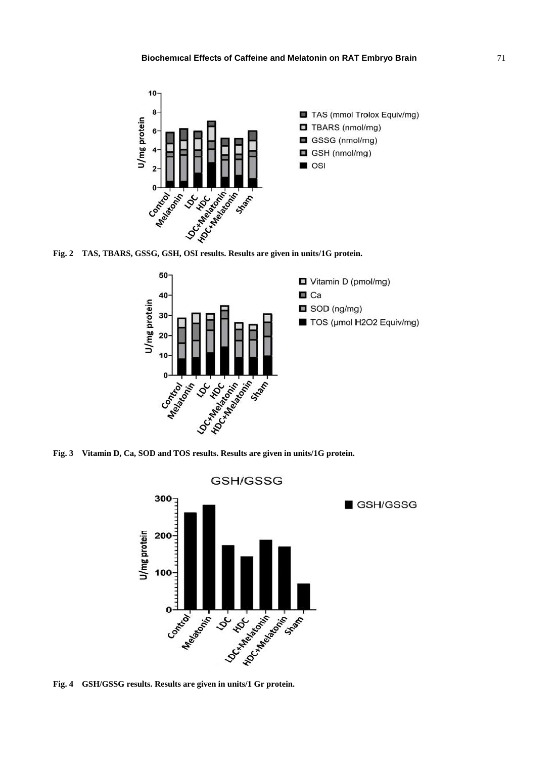





**Fig. 4 GSH/GSSG results. Results are given in units/1 Gr protein.**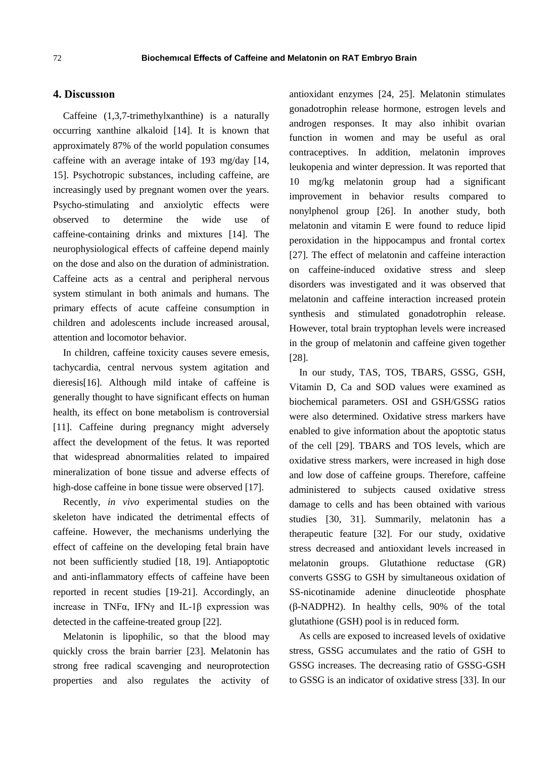# **4. Discussıon**

Caffeine (1,3,7-trimethylxanthine) is a naturally occurring xanthine alkaloid [14]. It is known that approximately 87% of the world population consumes caffeine with an average intake of 193 mg/day [14, 15]. Psychotropic substances, including caffeine, are increasingly used by pregnant women over the years. Psycho-stimulating and anxiolytic effects were observed to determine the wide use of caffeine-containing drinks and mixtures [14]. The neurophysiological effects of caffeine depend mainly on the dose and also on the duration of administration. Caffeine acts as a central and peripheral nervous system stimulant in both animals and humans. The primary effects of acute caffeine consumption in children and adolescents include increased arousal, attention and locomotor behavior.

In children, caffeine toxicity causes severe emesis, tachycardia, central nervous system agitation and dieresis[16]. Although mild intake of caffeine is generally thought to have significant effects on human health, its effect on bone metabolism is controversial [11]. Caffeine during pregnancy might adversely affect the development of the fetus. It was reported that widespread abnormalities related to impaired mineralization of bone tissue and adverse effects of high-dose caffeine in bone tissue were observed [17].

Recently, *in vivo* experimental studies on the skeleton have indicated the detrimental effects of caffeine. However, the mechanisms underlying the effect of caffeine on the developing fetal brain have not been sufficiently studied [18, 19]. Antiapoptotic and anti-inflammatory effects of caffeine have been reported in recent studies [19-21]. Accordingly, an increase in TNFα, IFNγ and IL-1β expression was detected in the caffeine-treated group [22].

Melatonin is lipophilic, so that the blood may quickly cross the brain barrier [23]. Melatonin has strong free radical scavenging and neuroprotection properties and also regulates the activity of antioxidant enzymes [24, 25]. Melatonin stimulates gonadotrophin release hormone, estrogen levels and androgen responses. It may also inhibit ovarian function in women and may be useful as oral contraceptives. In addition, melatonin improves leukopenia and winter depression. It was reported that 10 mg/kg melatonin group had a significant improvement in behavior results compared to nonylphenol group [26]. In another study, both melatonin and vitamin E were found to reduce lipid peroxidation in the hippocampus and frontal cortex [27]. The effect of melatonin and caffeine interaction on caffeine-induced oxidative stress and sleep disorders was investigated and it was observed that melatonin and caffeine interaction increased protein synthesis and stimulated gonadotrophin release. However, total brain tryptophan levels were increased in the group of melatonin and caffeine given together [28].

In our study, TAS, TOS, TBARS, GSSG, GSH, Vitamin D, Ca and SOD values were examined as biochemical parameters. OSI and GSH/GSSG ratios were also determined. Oxidative stress markers have enabled to give information about the apoptotic status of the cell [29]. TBARS and TOS levels, which are oxidative stress markers, were increased in high dose and low dose of caffeine groups. Therefore, caffeine administered to subjects caused oxidative stress damage to cells and has been obtained with various studies [30, 31]. Summarily, melatonin has a therapeutic feature [32]. For our study, oxidative stress decreased and antioxidant levels increased in melatonin groups. Glutathione reductase (GR) converts GSSG to GSH by simultaneous oxidation of SS-nicotinamide adenine dinucleotide phosphate (β-NADPH2). In healthy cells, 90% of the total glutathione (GSH) pool is in reduced form.

As cells are exposed to increased levels of oxidative stress, GSSG accumulates and the ratio of GSH to GSSG increases. The decreasing ratio of GSSG-GSH to GSSG is an indicator of oxidative stress [33]. In our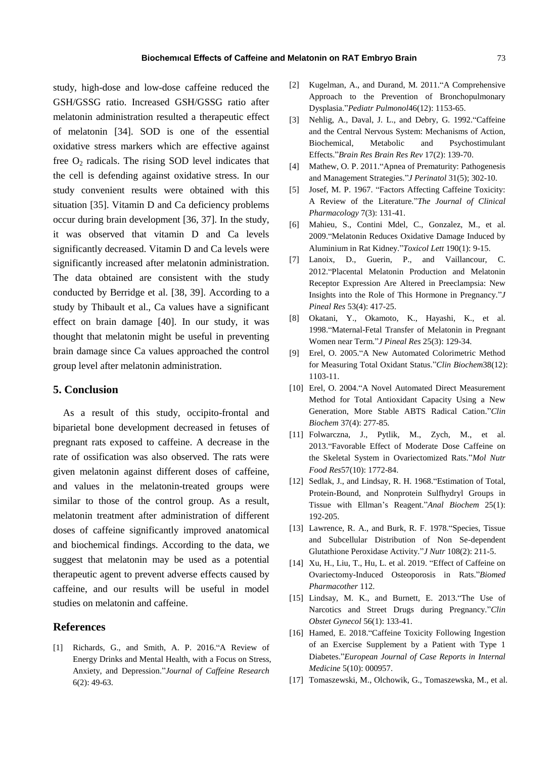study, high-dose and low-dose caffeine reduced the GSH/GSSG ratio. Increased GSH/GSSG ratio after melatonin administration resulted a therapeutic effect of melatonin [34]. SOD is one of the essential oxidative stress markers which are effective against free  $O_2$  radicals. The rising SOD level indicates that the cell is defending against oxidative stress. In our study convenient results were obtained with this situation [35]. Vitamin D and Ca deficiency problems occur during brain development [36, 37]. In the study, it was observed that vitamin D and Ca levels significantly decreased. Vitamin D and Ca levels were significantly increased after melatonin administration. The data obtained are consistent with the study conducted by Berridge et al. [38, 39]. According to a study by Thibault et al., Ca values have a significant effect on brain damage [40]. In our study, it was thought that melatonin might be useful in preventing brain damage since Ca values approached the control group level after melatonin administration.

# **5. Conclusion**

As a result of this study, occipito-frontal and biparietal bone development decreased in fetuses of pregnant rats exposed to caffeine. A decrease in the rate of ossification was also observed. The rats were given melatonin against different doses of caffeine, and values in the melatonin-treated groups were similar to those of the control group. As a result, melatonin treatment after administration of different doses of caffeine significantly improved anatomical and biochemical findings. According to the data, we suggest that melatonin may be used as a potential therapeutic agent to prevent adverse effects caused by caffeine, and our results will be useful in model studies on melatonin and caffeine.

### **References**

[1] Richards, G., and Smith, A. P. 2016."A Review of Energy Drinks and Mental Health, with a Focus on Stress, Anxiety, and Depression."*Journal of Caffeine Research* 6(2): 49-63.

- [2] Kugelman, A., and Durand, M. 2011."A Comprehensive Approach to the Prevention of Bronchopulmonary Dysplasia."*Pediatr Pulmonol*46(12): 1153-65.
- [3] Nehlig, A., Daval, J. L., and Debry, G. 1992."Caffeine and the Central Nervous System: Mechanisms of Action, Biochemical, Metabolic and Psychostimulant Effects."*Brain Res Brain Res Rev* 17(2): 139-70.
- [4] Mathew, O. P. 2011."Apnea of Prematurity: Pathogenesis and Management Strategies."*J Perinatol* 31(5); 302-10.
- [5] Josef, M. P. 1967. "Factors Affecting Caffeine Toxicity: A Review of the Literature."*The Journal of Clinical Pharmacology* 7(3): 131-41.
- [6] Mahieu, S., Contini Mdel, C., Gonzalez, M., et al. 2009."Melatonin Reduces Oxidative Damage Induced by Aluminium in Rat Kidney."*Toxicol Lett* 190(1): 9-15.
- [7] Lanoix, D., Guerin, P., and Vaillancour, C. 2012."Placental Melatonin Production and Melatonin Receptor Expression Are Altered in Preeclampsia: New Insights into the Role of This Hormone in Pregnancy."*J Pineal Res* 53(4): 417-25.
- [8] Okatani, Y., Okamoto, K., Hayashi, K., et al. 1998."Maternal-Fetal Transfer of Melatonin in Pregnant Women near Term."*J Pineal Res* 25(3): 129-34.
- [9] Erel, O. 2005."A New Automated Colorimetric Method for Measuring Total Oxidant Status."*Clin Biochem*38(12): 1103-11.
- [10] Erel, O. 2004."A Novel Automated Direct Measurement Method for Total Antioxidant Capacity Using a New Generation, More Stable ABTS Radical Cation."*Clin Biochem* 37(4): 277-85.
- [11] Folwarczna, J., Pytlik, M., Zych, M., et al. 2013."Favorable Effect of Moderate Dose Caffeine on the Skeletal System in Ovariectomized Rats."*Mol Nutr Food Res*57(10): 1772-84.
- [12] Sedlak, J., and Lindsay, R. H. 1968. Estimation of Total, Protein-Bound, and Nonprotein Sulfhydryl Groups in Tissue with Ellman's Reagent."*Anal Biochem* 25(1): 192-205.
- [13] Lawrence, R. A., and Burk, R. F. 1978."Species, Tissue and Subcellular Distribution of Non Se-dependent Glutathione Peroxidase Activity."*J Nutr* 108(2): 211-5.
- [14] Xu, H., Liu, T., Hu, L. et al. 2019. "Effect of Caffeine on Ovariectomy-Induced Osteoporosis in Rats."*Biomed Pharmacother* 112.
- [15] Lindsay, M. K., and Burnett, E. 2013."The Use of Narcotics and Street Drugs during Pregnancy."*Clin Obstet Gynecol* 56(1): 133-41.
- [16] Hamed, E. 2018."Caffeine Toxicity Following Ingestion of an Exercise Supplement by a Patient with Type 1 Diabetes."*European Journal of Case Reports in Internal Medicine* 5(10): 000957.
- [17] Tomaszewski, M., Olchowik, G., Tomaszewska, M., et al.